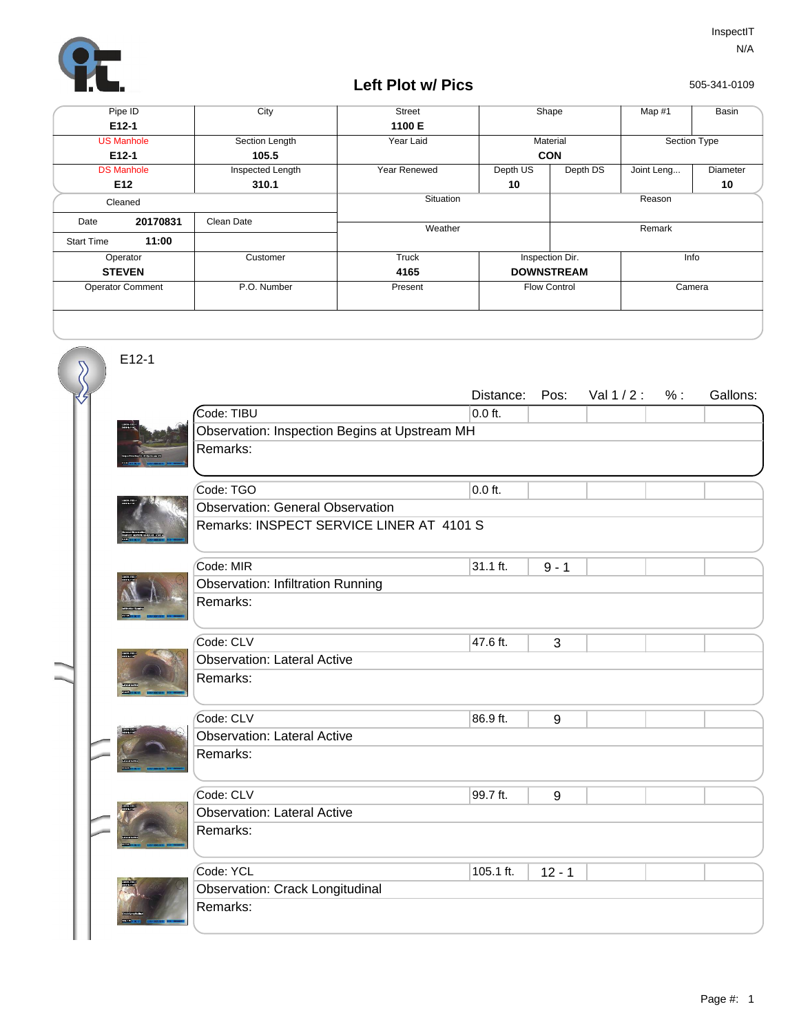

# **Left Plot w/ Pics**

505-341-0109

| Pipe ID                 |                   | City             | <b>Street</b> |          | Shape               | Map #1 | Basin        |
|-------------------------|-------------------|------------------|---------------|----------|---------------------|--------|--------------|
|                         | $E12-1$           |                  | 1100 E        |          |                     |        |              |
|                         | <b>US Manhole</b> | Section Length   | Year Laid     |          | Material            |        | Section Type |
|                         | $E12-1$           | 105.5            |               |          | <b>CON</b>          |        |              |
|                         | <b>DS Manhole</b> | Inspected Length | Year Renewed  | Depth US | Depth DS            |        | Diameter     |
|                         | E <sub>12</sub>   | 310.1            |               | 10       |                     |        | 10           |
| Cleaned                 |                   |                  | Situation     |          |                     | Reason |              |
| Date                    | 20170831          | Clean Date       | Weather       |          |                     | Remark |              |
| <b>Start Time</b>       | 11:00             |                  |               |          |                     |        |              |
| Operator                |                   | Customer         | Truck         |          | Inspection Dir.     |        | Info         |
| <b>STEVEN</b>           |                   |                  | 4165          |          | <b>DOWNSTREAM</b>   |        |              |
| <b>Operator Comment</b> |                   | P.O. Number      | Present       |          | <b>Flow Control</b> | Camera |              |
|                         |                   |                  |               |          |                     |        |              |

E12-1

 $\overline{\mathcal{S}}$ 

|                                               |           |                                          |  |  | Gallons: |  |  |  |
|-----------------------------------------------|-----------|------------------------------------------|--|--|----------|--|--|--|
| Code: TIBU                                    | $0.0$ ft. |                                          |  |  |          |  |  |  |
| Observation: Inspection Begins at Upstream MH |           |                                          |  |  |          |  |  |  |
| Remarks:                                      |           |                                          |  |  |          |  |  |  |
|                                               |           |                                          |  |  |          |  |  |  |
| Code: TGO                                     | $0.0$ ft. |                                          |  |  |          |  |  |  |
| <b>Observation: General Observation</b>       |           |                                          |  |  |          |  |  |  |
|                                               |           |                                          |  |  |          |  |  |  |
| Code: MIR                                     | 31.1 ft.  | $9 - 1$                                  |  |  |          |  |  |  |
| <b>Observation: Infiltration Running</b>      |           |                                          |  |  |          |  |  |  |
| Remarks:                                      |           |                                          |  |  |          |  |  |  |
|                                               |           |                                          |  |  |          |  |  |  |
| Code: CLV                                     | 47.6 ft.  | 3                                        |  |  |          |  |  |  |
| <b>Observation: Lateral Active</b>            |           |                                          |  |  |          |  |  |  |
| Remarks:                                      |           |                                          |  |  |          |  |  |  |
|                                               |           |                                          |  |  |          |  |  |  |
| Code: CLV                                     | 86.9 ft.  | 9                                        |  |  |          |  |  |  |
| <b>Observation: Lateral Active</b>            |           |                                          |  |  |          |  |  |  |
| Remarks:                                      |           |                                          |  |  |          |  |  |  |
|                                               |           |                                          |  |  |          |  |  |  |
| Code: CLV                                     | 99.7 ft.  | 9                                        |  |  |          |  |  |  |
| <b>Observation: Lateral Active</b>            |           |                                          |  |  |          |  |  |  |
| Remarks:                                      |           |                                          |  |  |          |  |  |  |
|                                               |           |                                          |  |  |          |  |  |  |
| Code: YCL                                     | 105.1 ft. | $12 - 1$                                 |  |  |          |  |  |  |
| <b>Observation: Crack Longitudinal</b>        |           |                                          |  |  |          |  |  |  |
| Remarks:                                      |           |                                          |  |  |          |  |  |  |
|                                               |           |                                          |  |  |          |  |  |  |
|                                               |           | Remarks: INSPECT SERVICE LINER AT 4101 S |  |  |          |  |  |  |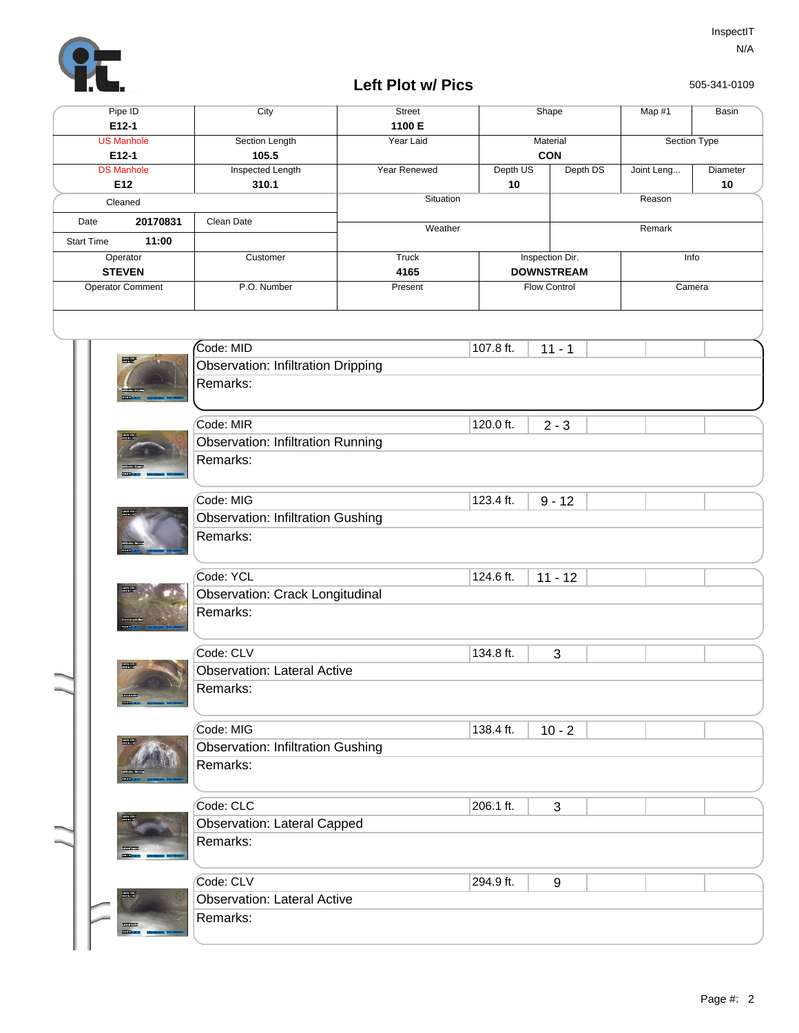

# **Left Plot w/ Pics**

505-341-0109

|     |                   | Pipe ID                                  | City                                      | <b>Street</b>   |           | Shape                                    |          | Map #1     | Basin        |
|-----|-------------------|------------------------------------------|-------------------------------------------|-----------------|-----------|------------------------------------------|----------|------------|--------------|
|     |                   | $E12-1$                                  |                                           | 1100 E          |           |                                          |          |            |              |
|     |                   | <b>US Manhole</b>                        | Section Length                            | Year Laid       |           | Material                                 |          |            | Section Type |
|     |                   | E12-1<br><b>DS Manhole</b>               | 105.5<br><b>Inspected Length</b>          | Year Renewed    | Depth US  | CON                                      | Depth DS | Joint Leng | Diameter     |
| E12 |                   |                                          | 310.1                                     |                 | 10        |                                          |          |            | 10           |
|     |                   | Cleaned                                  |                                           | Situation       |           | Reason                                   |          |            |              |
|     | Date              | 20170831                                 | Clean Date                                | Weather         |           |                                          |          | Remark     |              |
|     | <b>Start Time</b> | 11:00                                    |                                           |                 |           |                                          |          |            |              |
|     |                   | Operator                                 | Customer                                  | <b>Truck</b>    |           | Inspection Dir.                          |          |            | Info         |
|     |                   | <b>STEVEN</b><br><b>Operator Comment</b> | P.O. Number                               | 4165<br>Present |           | <b>DOWNSTREAM</b><br><b>Flow Control</b> |          |            | Camera       |
|     |                   |                                          |                                           |                 |           |                                          |          |            |              |
|     |                   |                                          |                                           |                 |           |                                          |          |            |              |
|     |                   |                                          | Code: MID                                 |                 | 107.8 ft. | $11 - 1$                                 |          |            |              |
|     |                   |                                          | <b>Observation: Infiltration Dripping</b> |                 |           |                                          |          |            |              |
|     |                   |                                          | Remarks:                                  |                 |           |                                          |          |            |              |
|     |                   |                                          |                                           |                 |           |                                          |          |            |              |
|     |                   |                                          | Code: MIR                                 |                 | 120.0 ft. |                                          |          |            |              |
|     |                   |                                          | <b>Observation: Infiltration Running</b>  |                 |           | $2 - 3$                                  |          |            |              |
|     |                   |                                          | Remarks:                                  |                 |           |                                          |          |            |              |
|     |                   |                                          |                                           |                 |           |                                          |          |            |              |
|     |                   |                                          | Code: MIG                                 |                 | 123.4 ft. |                                          |          |            |              |
|     |                   |                                          | <b>Observation: Infiltration Gushing</b>  |                 |           | $9 - 12$                                 |          |            |              |
|     |                   |                                          | Remarks:                                  |                 |           |                                          |          |            |              |
|     |                   |                                          |                                           |                 |           |                                          |          |            |              |
|     |                   |                                          | Code: YCL                                 |                 | 124.6 ft. | $11 - 12$                                |          |            |              |
|     |                   |                                          | Observation: Crack Longitudinal           |                 |           |                                          |          |            |              |
|     |                   |                                          | Remarks:                                  |                 |           |                                          |          |            |              |
|     |                   |                                          |                                           |                 |           |                                          |          |            |              |
|     |                   |                                          | Code: CLV                                 |                 | 134.8 ft. | 3                                        |          |            |              |
|     |                   | <b>Read</b>                              | <b>Observation: Lateral Active</b>        |                 |           |                                          |          |            |              |
|     |                   |                                          | Remarks:                                  |                 |           |                                          |          |            |              |
|     |                   |                                          |                                           |                 |           |                                          |          |            |              |
|     |                   |                                          | Code: MIG                                 |                 | 138.4 ft. | $10 - 2$                                 |          |            |              |
|     |                   |                                          | <b>Observation: Infiltration Gushing</b>  |                 |           |                                          |          |            |              |
|     |                   |                                          | Remarks:                                  |                 |           |                                          |          |            |              |
|     |                   |                                          |                                           |                 |           |                                          |          |            |              |
|     |                   |                                          | Code: CLC                                 |                 | 206.1 ft. | 3                                        |          |            |              |
|     |                   |                                          | <b>Observation: Lateral Capped</b>        |                 |           |                                          |          |            |              |
|     |                   |                                          | Remarks:                                  |                 |           |                                          |          |            |              |
|     |                   |                                          |                                           |                 |           |                                          |          |            |              |
|     |                   |                                          | Code: CLV                                 |                 | 294.9 ft. | 9                                        |          |            |              |
|     |                   |                                          | <b>Observation: Lateral Active</b>        |                 |           |                                          |          |            |              |
|     |                   |                                          | Remarks:                                  |                 |           |                                          |          |            |              |
|     |                   |                                          |                                           |                 |           |                                          |          |            |              |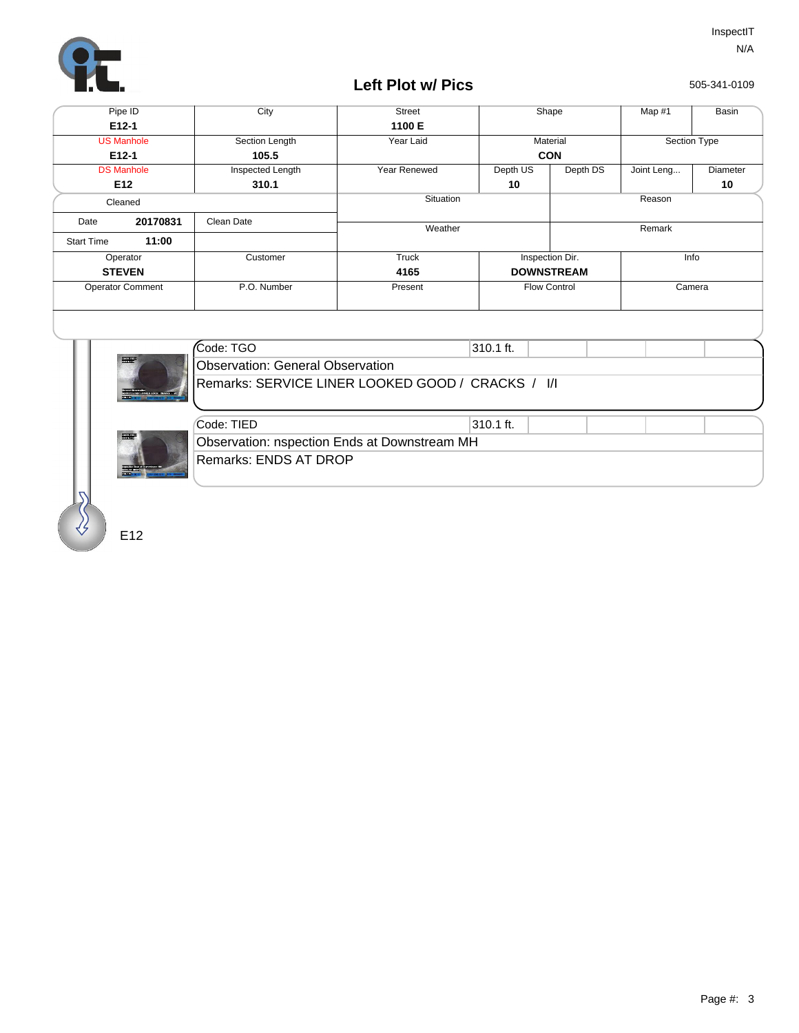

# **Left Plot w/ Pics**

505-341-0109

| Pipe ID                 |                   | City             | <b>Street</b> |          | Shape               | Map #1     | Basin            |  |
|-------------------------|-------------------|------------------|---------------|----------|---------------------|------------|------------------|--|
|                         | E12-1             |                  | 1100 E        |          |                     |            |                  |  |
|                         | <b>US Manhole</b> | Section Length   | Year Laid     |          | Material            |            | Section Type     |  |
|                         | E12-1             | 105.5            |               |          | <b>CON</b>          |            |                  |  |
|                         | <b>DS Manhole</b> | Inspected Length | Year Renewed  | Depth US | Depth DS            | Joint Leng | Diameter         |  |
|                         | E <sub>12</sub>   | 310.1            |               | 10       |                     |            | 10               |  |
| Cleaned                 |                   |                  | Situation     |          |                     | Reason     |                  |  |
| 20170831<br>Date        |                   | Clean Date       | Weather       |          |                     |            |                  |  |
| <b>Start Time</b>       | 11:00             |                  |               |          |                     |            |                  |  |
|                         | Operator          | Customer         | Truck         |          | Inspection Dir.     | Info       |                  |  |
| <b>STEVEN</b>           |                   |                  | 4165          |          | <b>DOWNSTREAM</b>   |            | Remark<br>Camera |  |
| <b>Operator Comment</b> |                   | P.O. Number      | Present       |          | <b>Flow Control</b> |            |                  |  |
|                         |                   |                  |               |          |                     |            |                  |  |



| Code: TGO                                         | 1310.1 ft. |  |
|---------------------------------------------------|------------|--|
| Observation: General Observation                  |            |  |
| Remarks: SERVICE LINER LOOKED GOOD / CRACKS / I/I |            |  |



| Code: TIED                                   | 310.1 ft. |  |
|----------------------------------------------|-----------|--|
| Observation: nspection Ends at Downstream MH |           |  |
| Remarks: ENDS AT DROP                        |           |  |

E12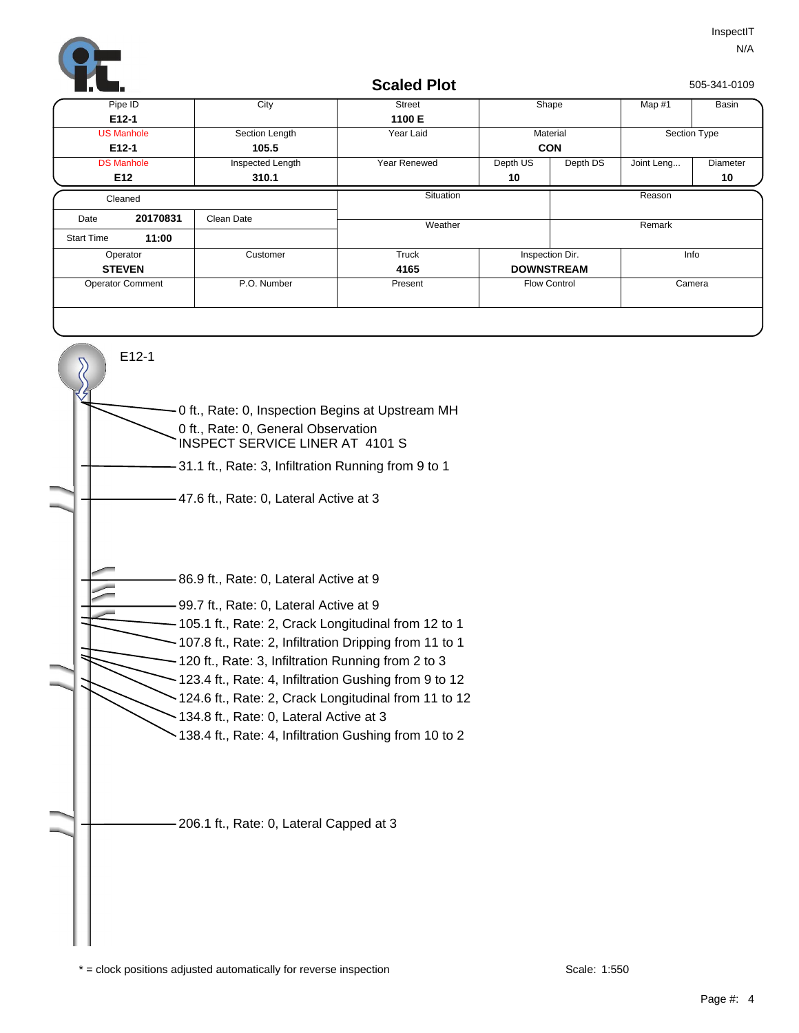

#### **Scaled Plot**

505-341-0109

|                         | Pipe ID           | City             | <b>Street</b> |                      | Shape               | Map $#1$   | Basin        |  |
|-------------------------|-------------------|------------------|---------------|----------------------|---------------------|------------|--------------|--|
|                         | $E12-1$           |                  | 1100 E        |                      |                     |            |              |  |
|                         | <b>US Manhole</b> | Section Length   | Year Laid     |                      | Material            |            | Section Type |  |
|                         | $E12-1$           | 105.5            |               |                      | <b>CON</b>          |            |              |  |
|                         | <b>DS Manhole</b> | Inspected Length | Year Renewed  | Depth US<br>Depth DS |                     | Joint Leng | Diameter     |  |
|                         | E12               | 310.1            |               | 10                   |                     |            | 10           |  |
| Cleaned                 |                   |                  | Situation     |                      |                     | Reason     |              |  |
| Date                    | 20170831          | Clean Date       | Weather       |                      |                     | Remark     |              |  |
| <b>Start Time</b>       | 11:00             |                  |               |                      |                     |            |              |  |
|                         | Operator          | Customer         | Truck         |                      | Inspection Dir.     | Info       |              |  |
| <b>STEVEN</b>           |                   |                  | 4165          |                      | <b>DOWNSTREAM</b>   |            |              |  |
| <b>Operator Comment</b> |                   | P.O. Number      | Present       |                      | <b>Flow Control</b> |            | Camera       |  |
|                         |                   |                  |               |                      |                     |            |              |  |